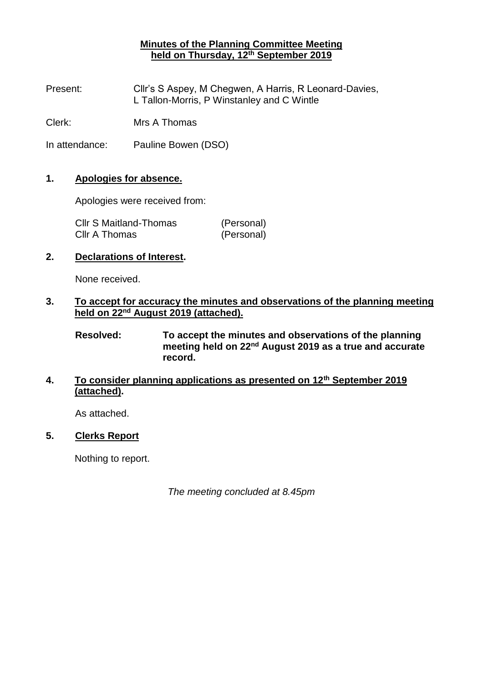# **Minutes of the Planning Committee Meeting held on Thursday, 12th September 2019**

Present: Cllr's S Aspey, M Chegwen, A Harris, R Leonard-Davies, L Tallon-Morris, P Winstanley and C Wintle

Clerk: Mrs A Thomas

In attendance: Pauline Bowen (DSO)

### **1. Apologies for absence.**

Apologies were received from:

| <b>CIIr S Maitland-Thomas</b> | (Personal) |
|-------------------------------|------------|
| Cllr A Thomas                 | (Personal) |

### **2. Declarations of Interest.**

None received.

### **3. To accept for accuracy the minutes and observations of the planning meeting held on 22nd August 2019 (attached).**

**Resolved: To accept the minutes and observations of the planning meeting held on 22nd August 2019 as a true and accurate record.**

# **4. To consider planning applications as presented on 12th September 2019 (attached).**

As attached.

### **5. Clerks Report**

Nothing to report.

*The meeting concluded at 8.45pm*